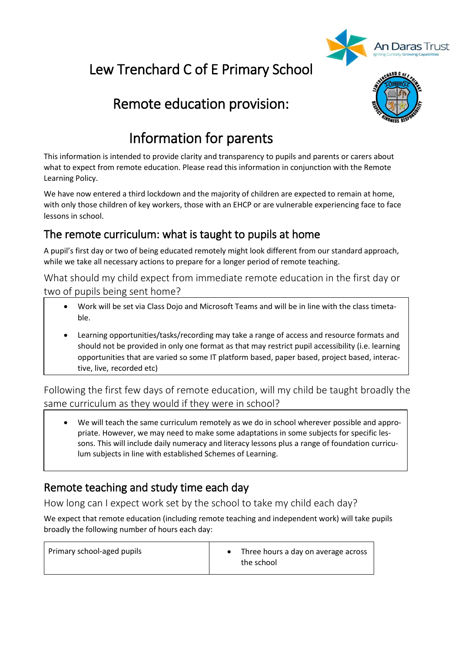

# Lew Trenchard C of E Primary School

# Remote education provision:



# Information for parents

This information is intended to provide clarity and transparency to pupils and parents or carers about what to expect from remote education. Please read this information in conjunction with the Remote Learning Policy.

We have now entered a third lockdown and the majority of children are expected to remain at home, with only those children of key workers, those with an EHCP or are vulnerable experiencing face to face lessons in school.

## The remote curriculum: what is taught to pupils at home

A pupil's first day or two of being educated remotely might look different from our standard approach, while we take all necessary actions to prepare for a longer period of remote teaching.

What should my child expect from immediate remote education in the first day or two of pupils being sent home?

- Work will be set via Class Dojo and Microsoft Teams and will be in line with the class timetable.
- Learning opportunities/tasks/recording may take a range of access and resource formats and should not be provided in only one format as that may restrict pupil accessibility (i.e. learning opportunities that are varied so some IT platform based, paper based, project based, interactive, live, recorded etc)

Following the first few days of remote education, will my child be taught broadly the same curriculum as they would if they were in school?

• We will teach the same curriculum remotely as we do in school wherever possible and appropriate. However, we may need to make some adaptations in some subjects for specific lessons. This will include daily numeracy and literacy lessons plus a range of foundation curriculum subjects in line with established Schemes of Learning.

## Remote teaching and study time each day

How long can I expect work set by the school to take my child each day?

We expect that remote education (including remote teaching and independent work) will take pupils broadly the following number of hours each day: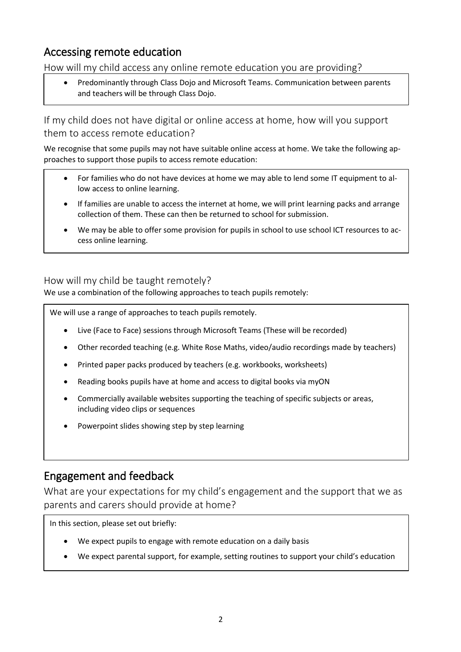### Accessing remote education

How will my child access any online remote education you are providing?

• Predominantly through Class Dojo and Microsoft Teams. Communication between parents and teachers will be through Class Dojo.

If my child does not have digital or online access at home, how will you support them to access remote education?

We recognise that some pupils may not have suitable online access at home. We take the following approaches to support those pupils to access remote education:

- For families who do not have devices at home we may able to lend some IT equipment to allow access to online learning.
- If families are unable to access the internet at home, we will print learning packs and arrange collection of them. These can then be returned to school for submission.
- We may be able to offer some provision for pupils in school to use school ICT resources to access online learning.

How will my child be taught remotely?

We use a combination of the following approaches to teach pupils remotely:

We will use a range of approaches to teach pupils remotely.

- Live (Face to Face) sessions through Microsoft Teams (These will be recorded)
- Other recorded teaching (e.g. White Rose Maths, video/audio recordings made by teachers)
- Printed paper packs produced by teachers (e.g. workbooks, worksheets)
- Reading books pupils have at home and access to digital books via myON
- Commercially available websites supporting the teaching of specific subjects or areas, including video clips or sequences
- Powerpoint slides showing step by step learning

#### Engagement and feedback

What are your expectations for my child's engagement and the support that we as parents and carers should provide at home?

In this section, please set out briefly:

- We expect pupils to engage with remote education on a daily basis
- We expect parental support, for example, setting routines to support your child's education